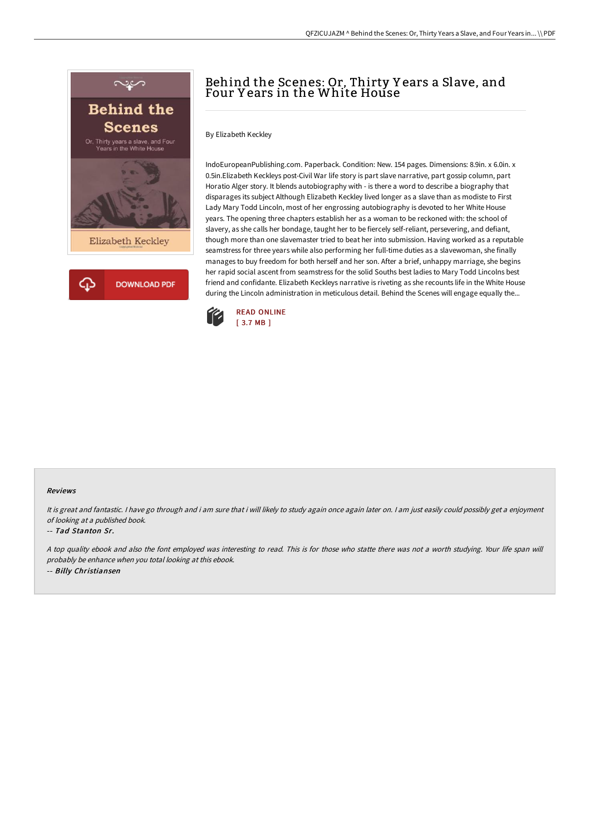

# Behind the Scenes: Or, Thirty Y ears a Slave, and Four Y ears in the White House

By Elizabeth Keckley

IndoEuropeanPublishing.com. Paperback. Condition: New. 154 pages. Dimensions: 8.9in. x 6.0in. x 0.5in.Elizabeth Keckleys post-Civil War life story is part slave narrative, part gossip column, part Horatio Alger story. It blends autobiography with - is there a word to describe a biography that disparages its subject Although Elizabeth Keckley lived longer as a slave than as modiste to First Lady Mary Todd Lincoln, most of her engrossing autobiography is devoted to her White House years. The opening three chapters establish her as a woman to be reckoned with: the school of slavery, as she calls her bondage, taught her to be fiercely self-reliant, persevering, and defiant, though more than one slavemaster tried to beat her into submission. Having worked as a reputable seamstress for three years while also performing her full-time duties as a slavewoman, she finally manages to buy freedom for both herself and her son. After a brief, unhappy marriage, she begins her rapid social ascent from seamstress for the solid Souths best ladies to Mary Todd Lincolns best friend and confidante. Elizabeth Keckleys narrative is riveting as she recounts life in the White House during the Lincoln administration in meticulous detail. Behind the Scenes will engage equally the...



### Reviews

It is great and fantastic. I have go through and i am sure that i will likely to study again once again later on. I am just easily could possibly get a enjoyment of looking at <sup>a</sup> published book.

### -- Tad Stanton Sr.

<sup>A</sup> top quality ebook and also the font employed was interesting to read. This is for those who statte there was not <sup>a</sup> worth studying. Your life span will probably be enhance when you total looking at this ebook. -- Billy Christiansen